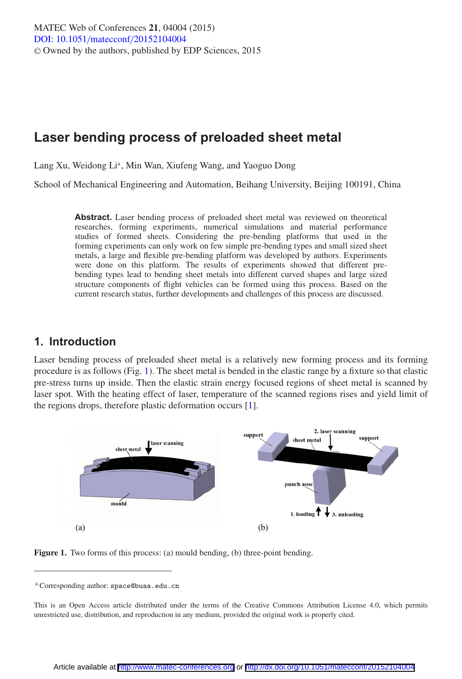# **Laser bending process of preloaded sheet metal**

Lang Xu, Weidong Li<sup>a</sup>, Min Wan, Xiufeng Wang, and Yaoguo Dong

School of Mechanical Engineering and Automation, Beihang University, Beijing 100191, China

**Abstract.** Laser bending process of preloaded sheet metal was reviewed on theoretical researches, forming experiments, numerical simulations and material performance studies of formed sheets. Considering the pre-bending platforms that used in the forming experiments can only work on few simple pre-bending types and small sized sheet metals, a large and flexible pre-bending platform was developed by authors. Experiments were done on this platform. The results of experiments showed that different prebending types lead to bending sheet metals into different curved shapes and large sized structure components of flight vehicles can be formed using this process. Based on the current research status, further developments and challenges of this process are discussed.

# **1. Introduction**

Laser bending process of preloaded sheet metal is a relatively new forming process and its forming procedure is as follows (Fig. [1\)](#page-0-0). The sheet metal is bended in the elastic range by a fixture so that elastic pre-stress turns up inside. Then the elastic strain energy focused regions of sheet metal is scanned by laser spot. With the heating effect of laser, temperature of the scanned regions rises and yield limit of the regions drops, therefore plastic deformation occurs [\[1\]](#page-6-0).

<span id="page-0-0"></span>

**Figure 1.** Two forms of this process: (a) mould bending, (b) three-point bending.

<sup>a</sup> Corresponding author: space@buaa.edu.cn

This is an Open Access article distributed under the terms of the Creative Commons Attribution License 4.0, which permits unrestricted use, distribution, and reproduction in any medium, provided the original work is properly cited.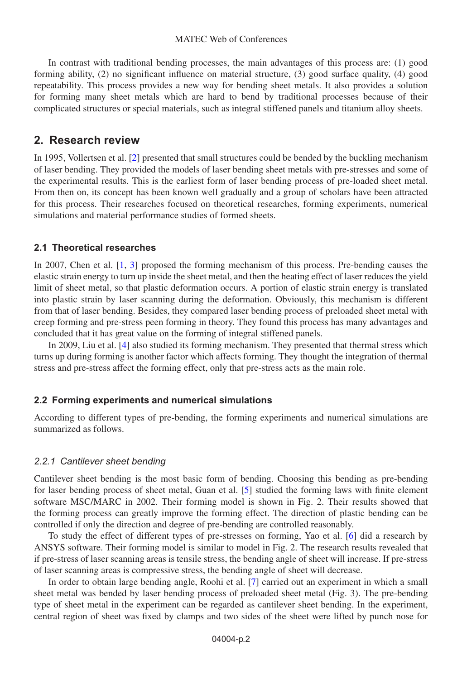#### MATEC Web of Conferences

In contrast with traditional bending processes, the main advantages of this process are: (1) good forming ability, (2) no significant influence on material structure, (3) good surface quality, (4) good repeatability. This process provides a new way for bending sheet metals. It also provides a solution for forming many sheet metals which are hard to bend by traditional processes because of their complicated structures or special materials, such as integral stiffened panels and titanium alloy sheets.

## **2. Research review**

In 1995, Vollertsen et al. [\[2\]](#page-6-1) presented that small structures could be bended by the buckling mechanism of laser bending. They provided the models of laser bending sheet metals with pre-stresses and some of the experimental results. This is the earliest form of laser bending process of pre-loaded sheet metal. From then on, its concept has been known well gradually and a group of scholars have been attracted for this process. Their researches focused on theoretical researches, forming experiments, numerical simulations and material performance studies of formed sheets.

#### **2.1 Theoretical researches**

In 2007, Chen et al. [\[1,](#page-6-0) [3\]](#page-6-2) proposed the forming mechanism of this process. Pre-bending causes the elastic strain energy to turn up inside the sheet metal, and then the heating effect of laser reduces the yield limit of sheet metal, so that plastic deformation occurs. A portion of elastic strain energy is translated into plastic strain by laser scanning during the deformation. Obviously, this mechanism is different from that of laser bending. Besides, they compared laser bending process of preloaded sheet metal with creep forming and pre-stress peen forming in theory. They found this process has many advantages and concluded that it has great value on the forming of integral stiffened panels.

In 2009, Liu et al. [\[4](#page-6-3)] also studied its forming mechanism. They presented that thermal stress which turns up during forming is another factor which affects forming. They thought the integration of thermal stress and pre-stress affect the forming effect, only that pre-stress acts as the main role.

#### **2.2 Forming experiments and numerical simulations**

According to different types of pre-bending, the forming experiments and numerical simulations are summarized as follows.

#### *2.2.1 Cantilever sheet bending*

Cantilever sheet bending is the most basic form of bending. Choosing this bending as pre-bending for laser bending process of sheet metal, Guan et al. [\[5\]](#page-6-4) studied the forming laws with finite element software MSC/MARC in 2002. Their forming model is shown in Fig. 2. Their results showed that the forming process can greatly improve the forming effect. The direction of plastic bending can be controlled if only the direction and degree of pre-bending are controlled reasonably.

To study the effect of different types of pre-stresses on forming, Yao et al. [\[6](#page-6-5)] did a research by ANSYS software. Their forming model is similar to model in Fig. 2. The research results revealed that if pre-stress of laser scanning areas is tensile stress, the bending angle of sheet will increase. If pre-stress of laser scanning areas is compressive stress, the bending angle of sheet will decrease.

In order to obtain large bending angle, Roohi et al. [\[7](#page-6-6)] carried out an experiment in which a small sheet metal was bended by laser bending process of preloaded sheet metal (Fig. 3). The pre-bending type of sheet metal in the experiment can be regarded as cantilever sheet bending. In the experiment, central region of sheet was fixed by clamps and two sides of the sheet were lifted by punch nose for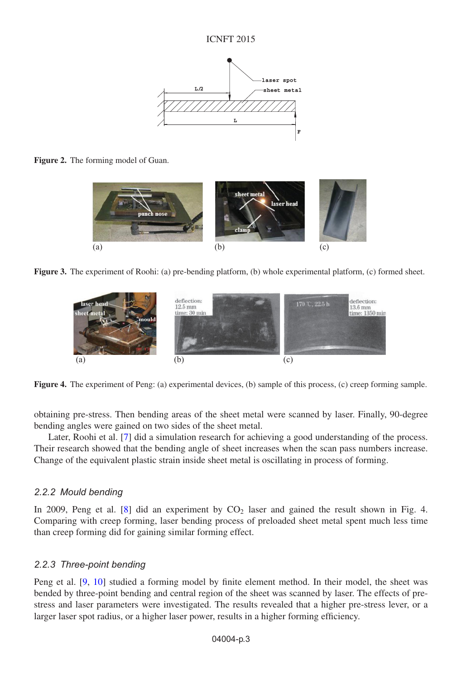

**Figure 2.** The forming model of Guan.



**Figure 3.** The experiment of Roohi: (a) pre-bending platform, (b) whole experimental platform, (c) formed sheet.



**Figure 4.** The experiment of Peng: (a) experimental devices, (b) sample of this process, (c) creep forming sample.

obtaining pre-stress. Then bending areas of the sheet metal were scanned by laser. Finally, 90-degree bending angles were gained on two sides of the sheet metal.

Later, Roohi et al. [\[7](#page-6-6)] did a simulation research for achieving a good understanding of the process. Their research showed that the bending angle of sheet increases when the scan pass numbers increase. Change of the equivalent plastic strain inside sheet metal is oscillating in process of forming.

#### *2.2.2 Mould bending*

In 2009, Peng et al.  $[8]$  $[8]$  did an experiment by  $CO<sub>2</sub>$  laser and gained the result shown in Fig. 4. Comparing with creep forming, laser bending process of preloaded sheet metal spent much less time than creep forming did for gaining similar forming effect.

#### *2.2.3 Three-point bending*

Peng et al. [\[9](#page-6-8), [10](#page-6-9)] studied a forming model by finite element method. In their model, the sheet was bended by three-point bending and central region of the sheet was scanned by laser. The effects of prestress and laser parameters were investigated. The results revealed that a higher pre-stress lever, or a larger laser spot radius, or a higher laser power, results in a higher forming efficiency.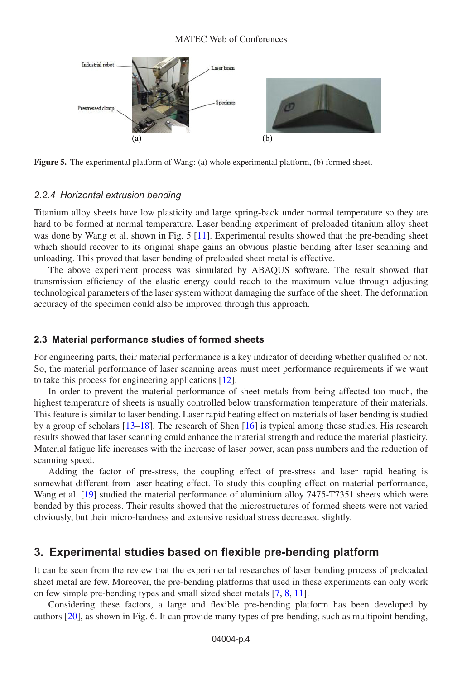

**Figure 5.** The experimental platform of Wang: (a) whole experimental platform, (b) formed sheet.

#### *2.2.4 Horizontal extrusion bending*

Titanium alloy sheets have low plasticity and large spring-back under normal temperature so they are hard to be formed at normal temperature. Laser bending experiment of preloaded titanium alloy sheet was done by Wang et al. shown in Fig. 5 [\[11\]](#page-6-10). Experimental results showed that the pre-bending sheet which should recover to its original shape gains an obvious plastic bending after laser scanning and unloading. This proved that laser bending of preloaded sheet metal is effective.

The above experiment process was simulated by ABAQUS software. The result showed that transmission efficiency of the elastic energy could reach to the maximum value through adjusting technological parameters of the laser system without damaging the surface of the sheet. The deformation accuracy of the specimen could also be improved through this approach.

#### **2.3 Material performance studies of formed sheets**

For engineering parts, their material performance is a key indicator of deciding whether qualified or not. So, the material performance of laser scanning areas must meet performance requirements if we want to take this process for engineering applications [\[12\]](#page-6-11).

In order to prevent the material performance of sheet metals from being affected too much, the highest temperature of sheets is usually controlled below transformation temperature of their materials. This feature is similar to laser bending. Laser rapid heating effect on materials of laser bending is studied by a group of scholars [\[13](#page-6-12)[–18\]](#page-6-13). The research of Shen [\[16\]](#page-6-14) is typical among these studies. His research results showed that laser scanning could enhance the material strength and reduce the material plasticity. Material fatigue life increases with the increase of laser power, scan pass numbers and the reduction of scanning speed.

Adding the factor of pre-stress, the coupling effect of pre-stress and laser rapid heating is somewhat different from laser heating effect. To study this coupling effect on material performance, Wang et al. [\[19\]](#page-6-15) studied the material performance of aluminium alloy 7475-T7351 sheets which were bended by this process. Their results showed that the microstructures of formed sheets were not varied obviously, but their micro-hardness and extensive residual stress decreased slightly.

# **3. Experimental studies based on flexible pre-bending platform**

It can be seen from the review that the experimental researches of laser bending process of preloaded sheet metal are few. Moreover, the pre-bending platforms that used in these experiments can only work on few simple pre-bending types and small sized sheet metals [\[7](#page-6-6), [8,](#page-6-7) [11\]](#page-6-10).

Considering these factors, a large and flexible pre-bending platform has been developed by authors [\[20\]](#page-6-16), as shown in Fig. 6. It can provide many types of pre-bending, such as multipoint bending,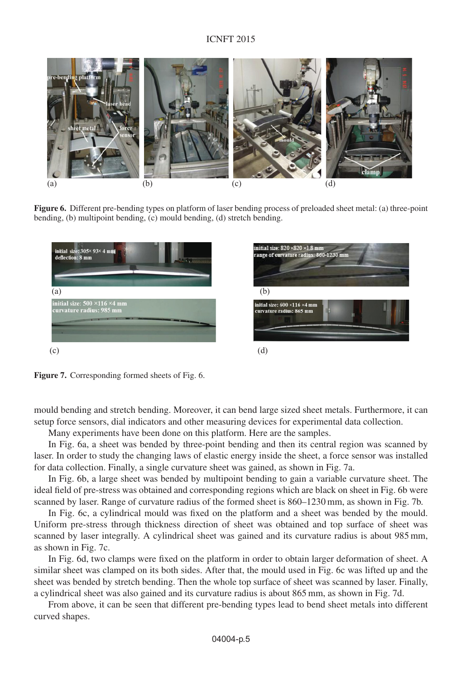#### ICNFT 2015



**Figure 6.** Different pre-bending types on platform of laser bending process of preloaded sheet metal: (a) three-point bending, (b) multipoint bending, (c) mould bending, (d) stretch bending.



**Figure 7.** Corresponding formed sheets of Fig. 6.

mould bending and stretch bending. Moreover, it can bend large sized sheet metals. Furthermore, it can setup force sensors, dial indicators and other measuring devices for experimental data collection.

Many experiments have been done on this platform. Here are the samples.

In Fig. 6a, a sheet was bended by three-point bending and then its central region was scanned by laser. In order to study the changing laws of elastic energy inside the sheet, a force sensor was installed for data collection. Finally, a single curvature sheet was gained, as shown in Fig. 7a.

In Fig. 6b, a large sheet was bended by multipoint bending to gain a variable curvature sheet. The ideal field of pre-stress was obtained and corresponding regions which are black on sheet in Fig. 6b were scanned by laser. Range of curvature radius of the formed sheet is 860–1230 mm, as shown in Fig. 7b.

In Fig. 6c, a cylindrical mould was fixed on the platform and a sheet was bended by the mould. Uniform pre-stress through thickness direction of sheet was obtained and top surface of sheet was scanned by laser integrally. A cylindrical sheet was gained and its curvature radius is about 985 mm, as shown in Fig. 7c.

In Fig. 6d, two clamps were fixed on the platform in order to obtain larger deformation of sheet. A similar sheet was clamped on its both sides. After that, the mould used in Fig. 6c was lifted up and the sheet was bended by stretch bending. Then the whole top surface of sheet was scanned by laser. Finally, a cylindrical sheet was also gained and its curvature radius is about 865 mm, as shown in Fig. 7d.

From above, it can be seen that different pre-bending types lead to bend sheet metals into different curved shapes.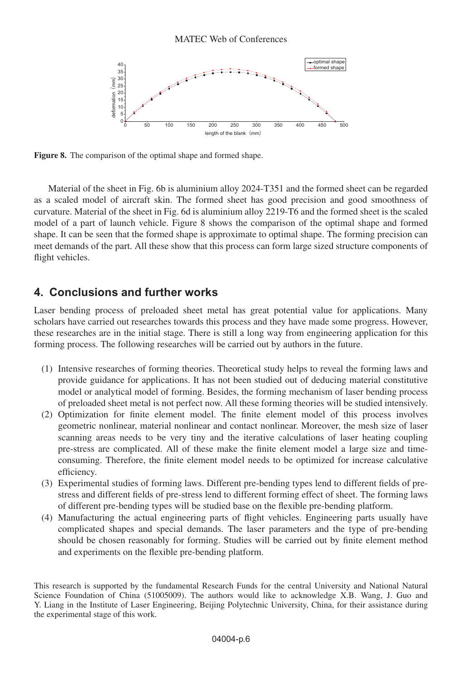

**Figure 8.** The comparison of the optimal shape and formed shape.

Material of the sheet in Fig. 6b is aluminium alloy 2024-T351 and the formed sheet can be regarded as a scaled model of aircraft skin. The formed sheet has good precision and good smoothness of curvature. Material of the sheet in Fig. 6d is aluminium alloy 2219-T6 and the formed sheet is the scaled model of a part of launch vehicle. Figure 8 shows the comparison of the optimal shape and formed shape. It can be seen that the formed shape is approximate to optimal shape. The forming precision can meet demands of the part. All these show that this process can form large sized structure components of flight vehicles.

# **4. Conclusions and further works**

Laser bending process of preloaded sheet metal has great potential value for applications. Many scholars have carried out researches towards this process and they have made some progress. However, these researches are in the initial stage. There is still a long way from engineering application for this forming process. The following researches will be carried out by authors in the future.

- (1) Intensive researches of forming theories. Theoretical study helps to reveal the forming laws and provide guidance for applications. It has not been studied out of deducing material constitutive model or analytical model of forming. Besides, the forming mechanism of laser bending process of preloaded sheet metal is not perfect now. All these forming theories will be studied intensively.
- (2) Optimization for finite element model. The finite element model of this process involves geometric nonlinear, material nonlinear and contact nonlinear. Moreover, the mesh size of laser scanning areas needs to be very tiny and the iterative calculations of laser heating coupling pre-stress are complicated. All of these make the finite element model a large size and timeconsuming. Therefore, the finite element model needs to be optimized for increase calculative efficiency.
- (3) Experimental studies of forming laws. Different pre-bending types lend to different fields of prestress and different fields of pre-stress lend to different forming effect of sheet. The forming laws of different pre-bending types will be studied base on the flexible pre-bending platform.
- (4) Manufacturing the actual engineering parts of flight vehicles. Engineering parts usually have complicated shapes and special demands. The laser parameters and the type of pre-bending should be chosen reasonably for forming. Studies will be carried out by finite element method and experiments on the flexible pre-bending platform.

This research is supported by the fundamental Research Funds for the central University and National Natural Science Foundation of China (51005009). The authors would like to acknowledge X.B. Wang, J. Guo and Y. Liang in the Institute of Laser Engineering, Beijing Polytechnic University, China, for their assistance during the experimental stage of this work.